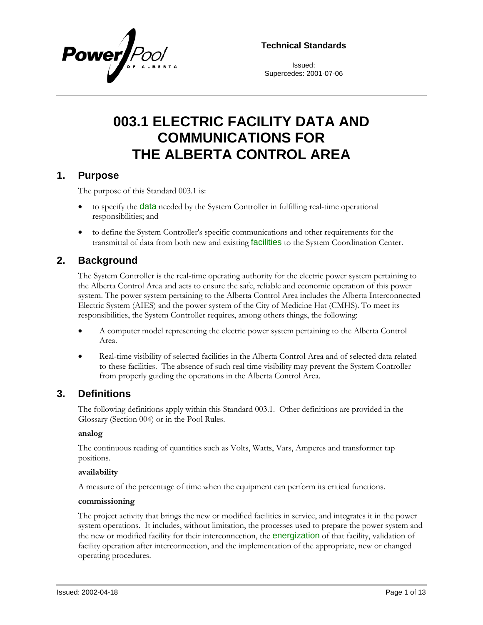

**Technical Standards**

Issued: Supercedes: 2001-07-06

# **003.1 ELECTRIC FACILITY DATA AND COMMUNICATIONS FOR THE ALBERTA CONTROL AREA**

### **1. Purpose**

The purpose of this Standard 003.1 is:

- to specify the **data** needed by the System Controller in fulfilling real-time operational responsibilities; and
- to define the System Controller's specific communications and other requirements for the transmittal of data from both new and existing **facilities** to the System Coordination Center.

### **2. Background**

The System Controller is the real-time operating authority for the electric power system pertaining to the Alberta Control Area and acts to ensure the safe, reliable and economic operation of this power system. The power system pertaining to the Alberta Control Area includes the Alberta Interconnected Electric System (AIES) and the power system of the City of Medicine Hat (CMHS). To meet its responsibilities, the System Controller requires, among others things, the following:

- A computer model representing the electric power system pertaining to the Alberta Control Area.
- Real-time visibility of selected facilities in the Alberta Control Area and of selected data related to these facilities. The absence of such real time visibility may prevent the System Controller from properly guiding the operations in the Alberta Control Area.

### **3. Definitions**

The following definitions apply within this Standard 003.1. Other definitions are provided in the Glossary (Section 004) or in the Pool Rules.

#### **analog**

The continuous reading of quantities such as Volts, Watts, Vars, Amperes and transformer tap positions.

#### **availability**

A measure of the percentage of time when the equipment can perform its critical functions.

#### **commissioning**

The project activity that brings the new or modified facilities in service, and integrates it in the power system operations. It includes, without limitation, the processes used to prepare the power system and the new or modified facility for their interconnection, the **energization** of that facility, validation of facility operation after interconnection, and the implementation of the appropriate, new or changed operating procedures.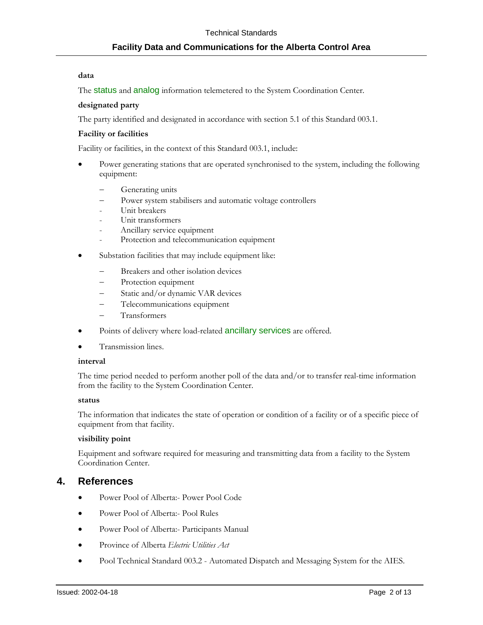#### **data**

The status and analog information telemetered to the System Coordination Center.

#### **designated party**

The party identified and designated in accordance with section 5.1 of this Standard 003.1.

#### **Facility or facilities**

Facility or facilities, in the context of this Standard 003.1, include:

- Power generating stations that are operated synchronised to the system, including the following equipment:
	- Generating units
	- Power system stabilisers and automatic voltage controllers
	- Unit breakers
	- Unit transformers
	- Ancillary service equipment
	- Protection and telecommunication equipment
- Substation facilities that may include equipment like:
	- Breakers and other isolation devices
	- Protection equipment
	- − Static and/or dynamic VAR devices
	- Telecommunications equipment
	- − Transformers
- Points of delivery where load-related ancillary services are offered.
- Transmission lines.

#### **interval**

The time period needed to perform another poll of the data and/or to transfer real-time information from the facility to the System Coordination Center.

#### **status**

The information that indicates the state of operation or condition of a facility or of a specific piece of equipment from that facility.

#### **visibility point**

Equipment and software required for measuring and transmitting data from a facility to the System Coordination Center.

### **4. References**

- Power Pool of Alberta:- Power Pool Code
- Power Pool of Alberta:- Pool Rules
- Power Pool of Alberta:- Participants Manual
- Province of Alberta *Electric Utilities Act*
- Pool Technical Standard 003.2 Automated Dispatch and Messaging System for the AIES.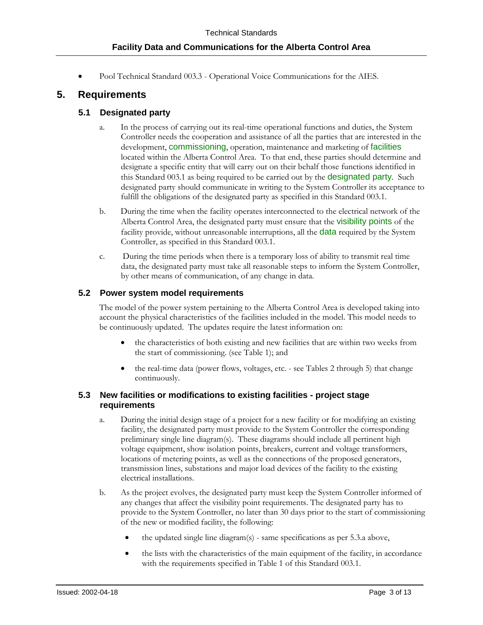• Pool Technical Standard 003.3 - Operational Voice Communications for the AIES.

### **5. Requirements**

### **5.1 Designated party**

- a. In the process of carrying out its real-time operational functions and duties, the System Controller needs the cooperation and assistance of all the parties that are interested in the development, **commissioning**, operation, maintenance and marketing of facilities located within the Alberta Control Area. To that end, these parties should determine and designate a specific entity that will carry out on their behalf those functions identified in this Standard 003.1 as being required to be carried out by the **designated party**. Such designated party should communicate in writing to the System Controller its acceptance to fulfill the obligations of the designated party as specified in this Standard 003.1.
- b. During the time when the facility operates interconnected to the electrical network of the Alberta Control Area, the designated party must ensure that the **visibility points** of the facility provide, without unreasonable interruptions, all the **data** required by the System Controller, as specified in this Standard 003.1.
- c. During the time periods when there is a temporary loss of ability to transmit real time data, the designated party must take all reasonable steps to inform the System Controller, by other means of communication, of any change in data.

### **5.2 Power system model requirements**

The model of the power system pertaining to the Alberta Control Area is developed taking into account the physical characteristics of the facilities included in the model. This model needs to be continuously updated. The updates require the latest information on:

- the characteristics of both existing and new facilities that are within two weeks from the start of commissioning. (see [Table 1\)](#page-5-0); and
- the real-time data (power flows, voltages, etc. see Tables 2 through 5) that change continuously.

#### **5.3 New facilities or modifications to existing facilities - project stage requirements**

- a. During the initial design stage of a project for a new facility or for modifying an existing facility, the designated party must provide to the System Controller the corresponding preliminary single line diagram(s). These diagrams should include all pertinent high voltage equipment, show isolation points, breakers, current and voltage transformers, locations of metering points, as well as the connections of the proposed generators, transmission lines, substations and major load devices of the facility to the existing electrical installations.
- b. As the project evolves, the designated party must keep the System Controller informed of any changes that affect the visibility point requirements. The designated party has to provide to the System Controller, no later than 30 days prior to the start of commissioning of the new or modified facility, the following:
	- the updated single line diagram(s) same specifications as per 5.3.a above,
	- the lists with the characteristics of the main equipment of the facility, in accordance with the requirements specified in Table 1 of this Standard 003.1.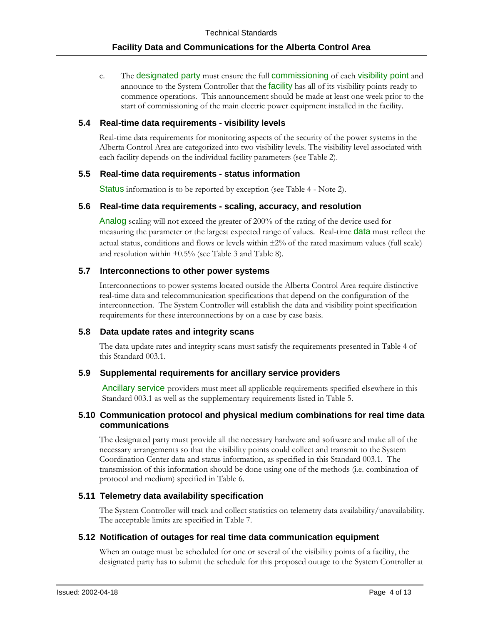c. The designated party must ensure the full commissioning of each visibility point and announce to the System Controller that the *facility* has all of its visibility points ready to commence operations. This announcement should be made at least one week prior to the start of commissioning of the main electric power equipment installed in the facility.

#### **5.4 Real-time data requirements - visibility levels**

Real-time data requirements for monitoring aspects of the security of the power systems in the Alberta Control Area are categorized into two visibility levels. The visibility level associated with each facility depends on the individual facility parameters (se[e Table 2\)](#page-6-0).

#### **5.5 Real-time data requirements - status information**

Status information is to be reported by exception (see Table 4 - Note 2).

#### **5.6 Real-time data requirements - scaling, accuracy, and resolution**

Analog scaling will not exceed the greater of 200% of the rating of the device used for measuring the parameter or the largest expected range of values. Real-time **data** must reflect the actual status, conditions and flows or levels within ±2% of the rated maximum values (full scale) and resolution within ±0.5% (see [Table 3](#page-7-0) and Table 8).

#### **5.7 Interconnections to other power systems**

Interconnections to power systems located outside the Alberta Control Area require distinctive real-time data and telecommunication specifications that depend on the configuration of the interconnection. The System Controller will establish the data and visibility point specification requirements for these interconnections by on a case by case basis.

#### **5.8 Data update rates and integrity scans**

The data update rates and integrity scans must satisfy the requirements presented in [Table 4](#page-9-0) of this Standard 003.1.

### **5.9 Supplemental requirements for ancillary service providers**

Ancillary service providers must meet all applicable requirements specified elsewhere in this Standard 003.1 as well as the supplementary requirements listed in Table 5.

#### **5.10 Communication protocol and physical medium combinations for real time data communications**

The designated party must provide all the necessary hardware and software and make all of the necessary arrangements so that the visibility points could collect and transmit to the System Coordination Center data and status information, as specified in this Standard 003.1. The transmission of this information should be done using one of the methods (i.e. combination of protocol and medium) specified in [Table 6.](#page-11-0)

#### **5.11 Telemetry data availability specification**

The System Controller will track and collect statistics on telemetry data availability/unavailability. The acceptable limits are specified in [Table 7.](#page-11-1)

#### **5.12 Notification of outages for real time data communication equipment**

When an outage must be scheduled for one or several of the visibility points of a facility, the designated party has to submit the schedule for this proposed outage to the System Controller at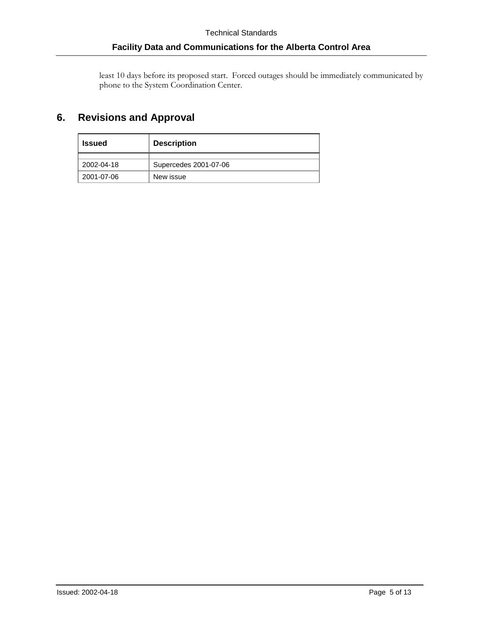least 10 days before its proposed start. Forced outages should be immediately communicated by phone to the System Coordination Center.

## **6. Revisions and Approval**

| <b>Issued</b> | <b>Description</b>    |  |
|---------------|-----------------------|--|
|               |                       |  |
| 2002-04-18    | Supercedes 2001-07-06 |  |
| 2001-07-06    | New issue             |  |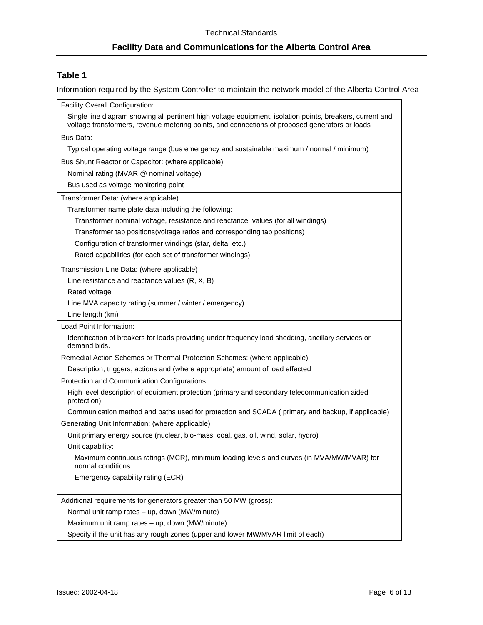### <span id="page-5-0"></span>**Table 1**

Information required by the System Controller to maintain the network model of the Alberta Control Area

| Facility Overall Configuration:                                                                                                                                                                             |
|-------------------------------------------------------------------------------------------------------------------------------------------------------------------------------------------------------------|
| Single line diagram showing all pertinent high voltage equipment, isolation points, breakers, current and<br>voltage transformers, revenue metering points, and connections of proposed generators or loads |
| Bus Data:                                                                                                                                                                                                   |
| Typical operating voltage range (bus emergency and sustainable maximum / normal / minimum)                                                                                                                  |
| Bus Shunt Reactor or Capacitor: (where applicable)                                                                                                                                                          |
| Nominal rating (MVAR @ nominal voltage)                                                                                                                                                                     |
| Bus used as voltage monitoring point                                                                                                                                                                        |
| Transformer Data: (where applicable)                                                                                                                                                                        |
| Transformer name plate data including the following:                                                                                                                                                        |
| Transformer nominal voltage, resistance and reactance values (for all windings)                                                                                                                             |
| Transformer tap positions(voltage ratios and corresponding tap positions)                                                                                                                                   |
| Configuration of transformer windings (star, delta, etc.)                                                                                                                                                   |
| Rated capabilities (for each set of transformer windings)                                                                                                                                                   |
| Transmission Line Data: (where applicable)                                                                                                                                                                  |
| Line resistance and reactance values (R, X, B)                                                                                                                                                              |
| Rated voltage                                                                                                                                                                                               |
| Line MVA capacity rating (summer / winter / emergency)                                                                                                                                                      |
| Line length (km)                                                                                                                                                                                            |
| Load Point Information:                                                                                                                                                                                     |
| Identification of breakers for loads providing under frequency load shedding, ancillary services or<br>demand bids.                                                                                         |
| Remedial Action Schemes or Thermal Protection Schemes: (where applicable)                                                                                                                                   |
| Description, triggers, actions and (where appropriate) amount of load effected                                                                                                                              |
| Protection and Communication Configurations:                                                                                                                                                                |
| High level description of equipment protection (primary and secondary telecommunication aided<br>protection)                                                                                                |
| Communication method and paths used for protection and SCADA (primary and backup, if applicable)                                                                                                            |
| Generating Unit Information: (where applicable)                                                                                                                                                             |
| Unit primary energy source (nuclear, bio-mass, coal, gas, oil, wind, solar, hydro)                                                                                                                          |
| Unit capability:                                                                                                                                                                                            |
| Maximum continuous ratings (MCR), minimum loading levels and curves (in MVA/MW/MVAR) for<br>normal conditions                                                                                               |
| Emergency capability rating (ECR)                                                                                                                                                                           |
| Additional requirements for generators greater than 50 MW (gross):                                                                                                                                          |
| Normal unit ramp rates - up, down (MW/minute)                                                                                                                                                               |
| Maximum unit ramp rates - up, down (MW/minute)                                                                                                                                                              |
| Specify if the unit has any rough zones (upper and lower MW/MVAR limit of each)                                                                                                                             |
|                                                                                                                                                                                                             |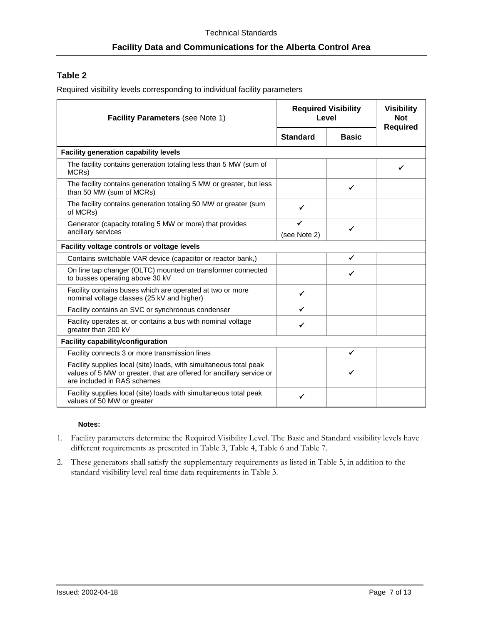### <span id="page-6-0"></span>**Table 2**

Required visibility levels corresponding to individual facility parameters

| <b>Facility Parameters (see Note 1)</b>                                                                                                                                   | <b>Required Visibility</b><br>Level |              | <b>Visibility</b><br><b>Not</b><br><b>Required</b> |  |
|---------------------------------------------------------------------------------------------------------------------------------------------------------------------------|-------------------------------------|--------------|----------------------------------------------------|--|
|                                                                                                                                                                           | <b>Standard</b>                     | <b>Basic</b> |                                                    |  |
| <b>Facility generation capability levels</b>                                                                                                                              |                                     |              |                                                    |  |
| The facility contains generation totaling less than 5 MW (sum of<br>MCRs)                                                                                                 |                                     |              |                                                    |  |
| The facility contains generation totaling 5 MW or greater, but less<br>than 50 MW (sum of MCRs)                                                                           |                                     | ✓            |                                                    |  |
| The facility contains generation totaling 50 MW or greater (sum<br>of MCRs)                                                                                               | ✔                                   |              |                                                    |  |
| Generator (capacity totaling 5 MW or more) that provides<br>ancillary services                                                                                            | (see Note 2)                        | ✓            |                                                    |  |
| Facility voltage controls or voltage levels                                                                                                                               |                                     |              |                                                    |  |
| Contains switchable VAR device (capacitor or reactor bank,)                                                                                                               |                                     | $\checkmark$ |                                                    |  |
| On line tap changer (OLTC) mounted on transformer connected<br>to busses operating above 30 kV                                                                            |                                     | ✓            |                                                    |  |
| Facility contains buses which are operated at two or more<br>nominal voltage classes (25 kV and higher)                                                                   | ✓                                   |              |                                                    |  |
| Facility contains an SVC or synchronous condenser                                                                                                                         | ✔                                   |              |                                                    |  |
| Facility operates at, or contains a bus with nominal voltage<br>greater than 200 kV                                                                                       | ✔                                   |              |                                                    |  |
| <b>Facility capability/configuration</b>                                                                                                                                  |                                     |              |                                                    |  |
| Facility connects 3 or more transmission lines                                                                                                                            |                                     | ✓            |                                                    |  |
| Facility supplies local (site) loads, with simultaneous total peak<br>values of 5 MW or greater, that are offered for ancillary service or<br>are included in RAS schemes |                                     | ✓            |                                                    |  |
| Facility supplies local (site) loads with simultaneous total peak<br>values of 50 MW or greater                                                                           | ✔                                   |              |                                                    |  |

#### **Notes:**

- 1. Facility parameters determine the Required Visibility Level. The Basic and Standard visibility levels have different requirements as presented in Table 3, Table 4, Table 6 and Table 7.
- 2. These generators shall satisfy the supplementary requirements as listed in Table 5, in addition to the standard visibility level real time data requirements in Table 3.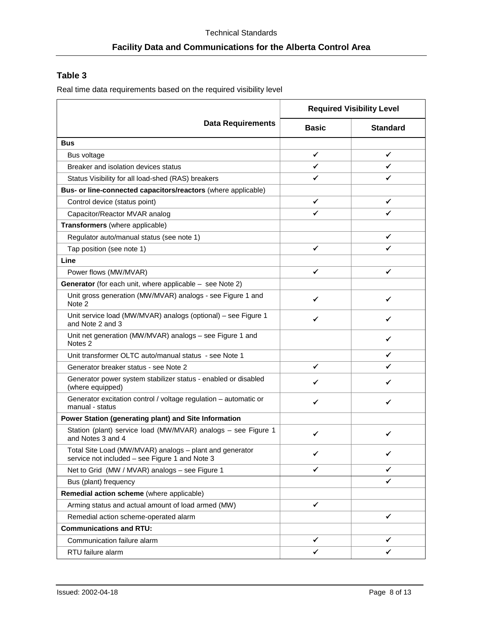### <span id="page-7-0"></span>**Table 3**

Real time data requirements based on the required visibility level

|                                                                                                           | <b>Required Visibility Level</b> |                 |  |
|-----------------------------------------------------------------------------------------------------------|----------------------------------|-----------------|--|
| <b>Data Requirements</b>                                                                                  | <b>Basic</b>                     | <b>Standard</b> |  |
| <b>Bus</b>                                                                                                |                                  |                 |  |
| Bus voltage                                                                                               | ✔                                | ✓               |  |
| Breaker and isolation devices status                                                                      | ✔                                | ✔               |  |
| Status Visibility for all load-shed (RAS) breakers                                                        | ✓                                | ✔               |  |
| Bus- or line-connected capacitors/reactors (where applicable)                                             |                                  |                 |  |
| Control device (status point)                                                                             | ✓                                | ✓               |  |
| Capacitor/Reactor MVAR analog                                                                             | ✓                                | ✔               |  |
| Transformers (where applicable)                                                                           |                                  |                 |  |
| Regulator auto/manual status (see note 1)                                                                 |                                  | ✓               |  |
| Tap position (see note 1)                                                                                 | ✓                                | ✓               |  |
| Line                                                                                                      |                                  |                 |  |
| Power flows (MW/MVAR)                                                                                     | ✓                                | ✓               |  |
| <b>Generator</b> (for each unit, where applicable $-$ see Note 2)                                         |                                  |                 |  |
| Unit gross generation (MW/MVAR) analogs - see Figure 1 and<br>Note 2                                      | ✓                                | ✔               |  |
| Unit service load (MW/MVAR) analogs (optional) - see Figure 1<br>and Note 2 and 3                         | ✔                                | ✓               |  |
| Unit net generation (MW/MVAR) analogs - see Figure 1 and<br>Notes <sub>2</sub>                            |                                  | ✓               |  |
| Unit transformer OLTC auto/manual status - see Note 1                                                     |                                  |                 |  |
| Generator breaker status - see Note 2                                                                     | ✓                                | ✔               |  |
| Generator power system stabilizer status - enabled or disabled<br>(where equipped)                        | ✓                                | ✔               |  |
| Generator excitation control / voltage regulation - automatic or<br>manual - status                       | ✔                                | ✓               |  |
| Power Station (generating plant) and Site Information                                                     |                                  |                 |  |
| Station (plant) service load (MW/MVAR) analogs - see Figure 1<br>and Notes 3 and 4                        | ✓                                | ✓               |  |
| Total Site Load (MW/MVAR) analogs - plant and generator<br>service not included - see Figure 1 and Note 3 | ◢                                | ◢               |  |
| Net to Grid (MW / MVAR) analogs - see Figure 1                                                            | ✓                                | ✓               |  |
| Bus (plant) frequency                                                                                     |                                  | ✔               |  |
| Remedial action scheme (where applicable)                                                                 |                                  |                 |  |
| Arming status and actual amount of load armed (MW)                                                        | ✓                                |                 |  |
| Remedial action scheme-operated alarm                                                                     |                                  | ✓               |  |
| <b>Communications and RTU:</b>                                                                            |                                  |                 |  |
| Communication failure alarm                                                                               | ✓                                | ✔               |  |
| RTU failure alarm                                                                                         | ✔                                | ✓               |  |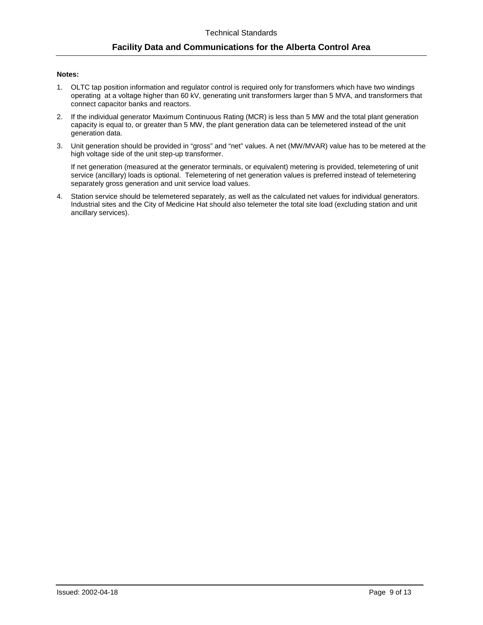#### **Notes:**

- 1. OLTC tap position information and regulator control is required only for transformers which have two windings operating at a voltage higher than 60 kV, generating unit transformers larger than 5 MVA, and transformers that connect capacitor banks and reactors.
- 2. If the individual generator Maximum Continuous Rating (MCR) is less than 5 MW and the total plant generation capacity is equal to, or greater than 5 MW, the plant generation data can be telemetered instead of the unit generation data.
- 3. Unit generation should be provided in "gross" and "net" values. A net (MW/MVAR) value has to be metered at the high voltage side of the unit step-up transformer.

If net generation (measured at the generator terminals, or equivalent) metering is provided, telemetering of unit service (ancillary) loads is optional. Telemetering of net generation values is preferred instead of telemetering separately gross generation and unit service load values.

4. Station service should be telemetered separately, as well as the calculated net values for individual generators. Industrial sites and the City of Medicine Hat should also telemeter the total site load (excluding station and unit ancillary services).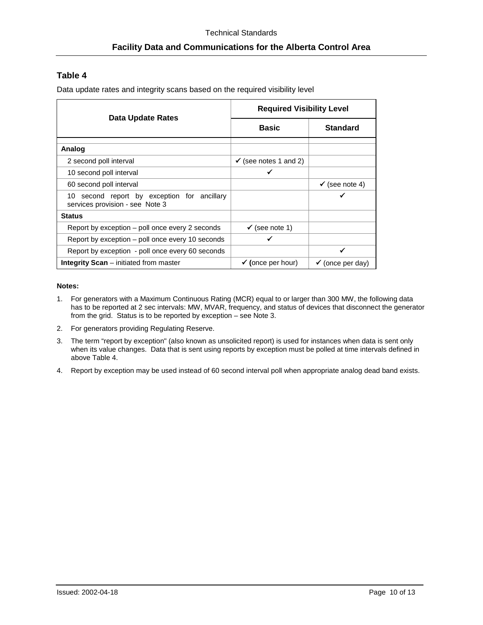### <span id="page-9-0"></span>**Table 4**

Data update rates and integrity scans based on the required visibility level

| Data Update Rates                                                                 | <b>Required Visibility Level</b> |                             |  |
|-----------------------------------------------------------------------------------|----------------------------------|-----------------------------|--|
|                                                                                   | <b>Basic</b>                     | <b>Standard</b>             |  |
|                                                                                   |                                  |                             |  |
| Analog                                                                            |                                  |                             |  |
| 2 second poll interval                                                            | $\checkmark$ (see notes 1 and 2) |                             |  |
| 10 second poll interval                                                           |                                  |                             |  |
| 60 second poll interval                                                           |                                  | $\checkmark$ (see note 4)   |  |
| second report by exception for ancillary<br>10<br>services provision - see Note 3 |                                  | √                           |  |
| <b>Status</b>                                                                     |                                  |                             |  |
| Report by exception – poll once every 2 seconds                                   | $\checkmark$ (see note 1)        |                             |  |
| Report by exception – poll once every 10 seconds                                  |                                  |                             |  |
| Report by exception - poll once every 60 seconds                                  |                                  | ✔                           |  |
| <b>Integrity Scan</b> $-$ initiated from master                                   | $\checkmark$ (once per hour)     | $\checkmark$ (once per day) |  |

#### **Notes:**

- 1. For generators with a Maximum Continuous Rating (MCR) equal to or larger than 300 MW, the following data has to be reported at 2 sec intervals: MW, MVAR, frequency, and status of devices that disconnect the generator from the grid. Status is to be reported by exception – see Note 3.
- 2. For generators providing Regulating Reserve.
- 3. The term "report by exception" (also known as unsolicited report) is used for instances when data is sent only when its value changes. Data that is sent using reports by exception must be polled at time intervals defined in above Table 4.
- 4. Report by exception may be used instead of 60 second interval poll when appropriate analog dead band exists.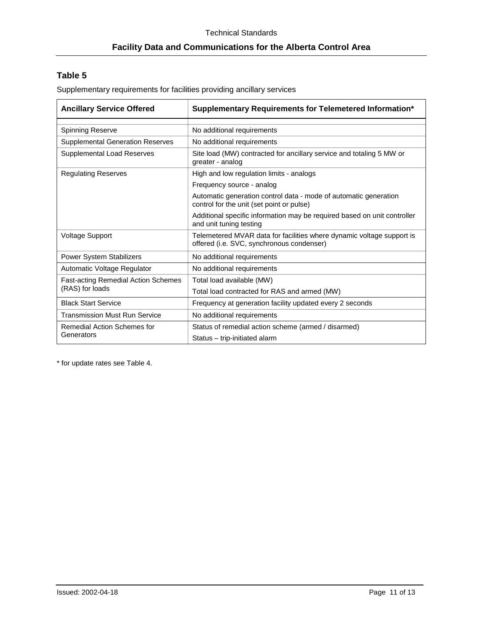### **Table 5**

Supplementary requirements for facilities providing ancillary services

| <b>Ancillary Service Offered</b>           | Supplementary Requirements for Telemetered Information*                                                            |  |
|--------------------------------------------|--------------------------------------------------------------------------------------------------------------------|--|
| Spinning Reserve                           | No additional requirements                                                                                         |  |
| <b>Supplemental Generation Reserves</b>    | No additional requirements                                                                                         |  |
| Supplemental Load Reserves                 | Site load (MW) contracted for ancillary service and totaling 5 MW or<br>greater - analog                           |  |
| <b>Regulating Reserves</b>                 | High and low regulation limits - analogs                                                                           |  |
|                                            | Frequency source - analog                                                                                          |  |
|                                            | Automatic generation control data - mode of automatic generation<br>control for the unit (set point or pulse)      |  |
|                                            | Additional specific information may be required based on unit controller<br>and unit tuning testing                |  |
| <b>Voltage Support</b>                     | Telemetered MVAR data for facilities where dynamic voltage support is<br>offered (i.e. SVC, synchronous condenser) |  |
| <b>Power System Stabilizers</b>            | No additional requirements                                                                                         |  |
| Automatic Voltage Regulator                | No additional requirements                                                                                         |  |
| <b>Fast-acting Remedial Action Schemes</b> | Total load available (MW)                                                                                          |  |
| (RAS) for loads                            | Total load contracted for RAS and armed (MW)                                                                       |  |
| <b>Black Start Service</b>                 | Frequency at generation facility updated every 2 seconds                                                           |  |
| <b>Transmission Must Run Service</b>       | No additional requirements                                                                                         |  |
| Remedial Action Schemes for                | Status of remedial action scheme (armed / disarmed)                                                                |  |
| Generators                                 | Status - trip-initiated alarm                                                                                      |  |

\* for update rates see Table 4.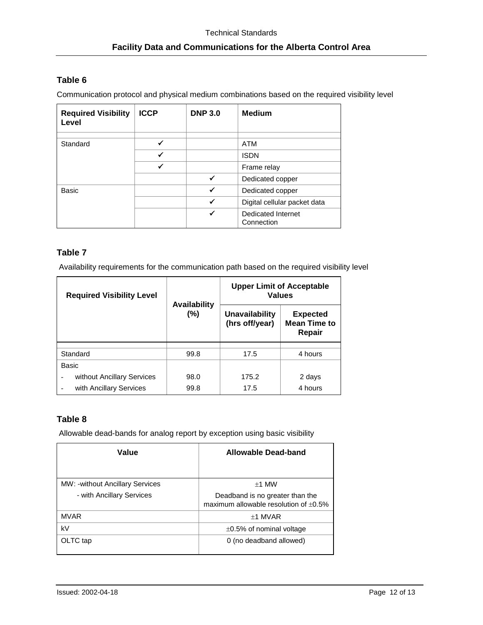### <span id="page-11-0"></span>**Table 6**

Communication protocol and physical medium combinations based on the required visibility level

| <b>Required Visibility</b><br>Level | <b>ICCP</b> | <b>DNP 3.0</b> | <b>Medium</b>                           |
|-------------------------------------|-------------|----------------|-----------------------------------------|
| Standard                            |             |                | ATM                                     |
|                                     |             |                | <b>ISDN</b>                             |
|                                     |             |                | Frame relay                             |
|                                     |             | ✔              | Dedicated copper                        |
| Basic                               |             | ✔              | Dedicated copper                        |
|                                     |             | ✔              | Digital cellular packet data            |
|                                     |             | ✔              | <b>Dedicated Internet</b><br>Connection |

### <span id="page-11-1"></span>**Table 7**

Availability requirements for the communication path based on the required visibility level

| <b>Required Visibility Level</b>                           | <b>Availability</b> | <b>Upper Limit of Acceptable</b><br><b>Values</b> |                                                  |  |
|------------------------------------------------------------|---------------------|---------------------------------------------------|--------------------------------------------------|--|
|                                                            | (%)                 | <b>Unavailability</b><br>(hrs off/year)           | <b>Expected</b><br><b>Mean Time to</b><br>Repair |  |
|                                                            |                     |                                                   |                                                  |  |
| Standard                                                   | 99.8                | 17.5                                              | 4 hours                                          |  |
| Basic                                                      |                     |                                                   |                                                  |  |
| without Ancillary Services<br>$\qquad \qquad \blacksquare$ | 98.0                | 175.2                                             | 2 days                                           |  |
| with Ancillary Services                                    | 99.8                | 17.5                                              | 4 hours                                          |  |

### **Table 8**

Allowable dead-bands for analog report by exception using basic visibility

| Value                                                               | Allowable Dead-band                                                                       |
|---------------------------------------------------------------------|-------------------------------------------------------------------------------------------|
| <b>MW: -without Ancillary Services</b><br>- with Ancillary Services | $+1$ MW<br>Deadband is no greater than the<br>maximum allowable resolution of $\pm 0.5\%$ |
| <b>MVAR</b>                                                         | $±1$ MVAR                                                                                 |
| kV                                                                  | $\pm 0.5\%$ of nominal voltage                                                            |
| OLTC tap                                                            | 0 (no deadband allowed)                                                                   |